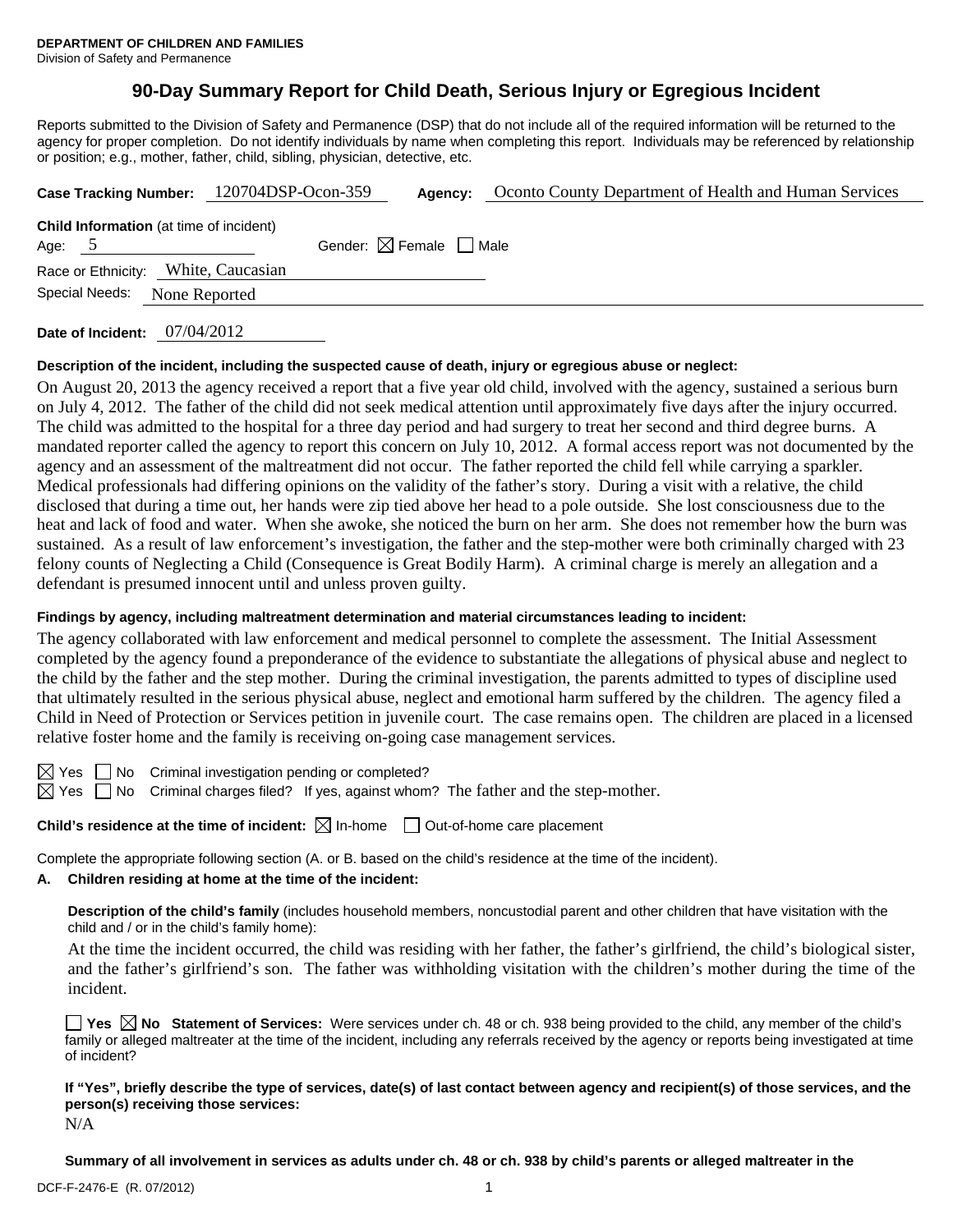# **90-Day Summary Report for Child Death, Serious Injury or Egregious Incident**

Reports submitted to the Division of Safety and Permanence (DSP) that do not include all of the required information will be returned to the agency for proper completion. Do not identify individuals by name when completing this report. Individuals may be referenced by relationship or position; e.g., mother, father, child, sibling, physician, detective, etc.

| Case Tracking Number: 120704DSP-Ocon-359                   |  | Agency:                                | Oconto County Department of Health and Human Services |  |  |  |
|------------------------------------------------------------|--|----------------------------------------|-------------------------------------------------------|--|--|--|
| <b>Child Information</b> (at time of incident)<br>Age: $5$ |  | Gender: $\boxtimes$ Female $\Box$ Male |                                                       |  |  |  |
| Race or Ethnicity: White, Caucasian<br>None Reported       |  |                                        |                                                       |  |  |  |
| Special Needs:                                             |  |                                        |                                                       |  |  |  |

**Date of Incident:** 07/04/2012

#### **Description of the incident, including the suspected cause of death, injury or egregious abuse or neglect:**

On August 20, 2013 the agency received a report that a five year old child, involved with the agency, sustained a serious burn on July 4, 2012. The father of the child did not seek medical attention until approximately five days after the injury occurred. The child was admitted to the hospital for a three day period and had surgery to treat her second and third degree burns. A mandated reporter called the agency to report this concern on July 10, 2012. A formal access report was not documented by the agency and an assessment of the maltreatment did not occur. The father reported the child fell while carrying a sparkler. Medical professionals had differing opinions on the validity of the father's story. During a visit with a relative, the child disclosed that during a time out, her hands were zip tied above her head to a pole outside. She lost consciousness due to the heat and lack of food and water. When she awoke, she noticed the burn on her arm. She does not remember how the burn was sustained. As a result of law enforcement's investigation, the father and the step-mother were both criminally charged with 23 felony counts of Neglecting a Child (Consequence is Great Bodily Harm). A criminal charge is merely an allegation and a defendant is presumed innocent until and unless proven guilty.

### **Findings by agency, including maltreatment determination and material circumstances leading to incident:**

The agency collaborated with law enforcement and medical personnel to complete the assessment. The Initial Assessment completed by the agency found a preponderance of the evidence to substantiate the allegations of physical abuse and neglect to the child by the father and the step mother. During the criminal investigation, the parents admitted to types of discipline used that ultimately resulted in the serious physical abuse, neglect and emotional harm suffered by the children. The agency filed a Child in Need of Protection or Services petition in juvenile court. The case remains open. The children are placed in a licensed relative foster home and the family is receiving on-going case management services.

 $\boxtimes$  Yes  $\Box$  No Criminal investigation pending or completed?

 $\boxtimes$  Yes  $\Box$  No Criminal charges filed? If yes, against whom? The father and the step-mother.

**Child's residence at the time of incident:**  $\boxtimes$  In-home  $\Box$  Out-of-home care placement

Complete the appropriate following section (A. or B. based on the child's residence at the time of the incident).

#### **A. Children residing at home at the time of the incident:**

**Description of the child's family** (includes household members, noncustodial parent and other children that have visitation with the child and / or in the child's family home):

 At the time the incident occurred, the child was residing with her father, the father's girlfriend, the child's biological sister, and the father's girlfriend's son. The father was withholding visitation with the children's mother during the time of the incident.

**Yes No Statement of Services:** Were services under ch. 48 or ch. 938 being provided to the child, any member of the child's family or alleged maltreater at the time of the incident, including any referrals received by the agency or reports being investigated at time of incident?

**If "Yes", briefly describe the type of services, date(s) of last contact between agency and recipient(s) of those services, and the person(s) receiving those services:** 

N/A

**Summary of all involvement in services as adults under ch. 48 or ch. 938 by child's parents or alleged maltreater in the**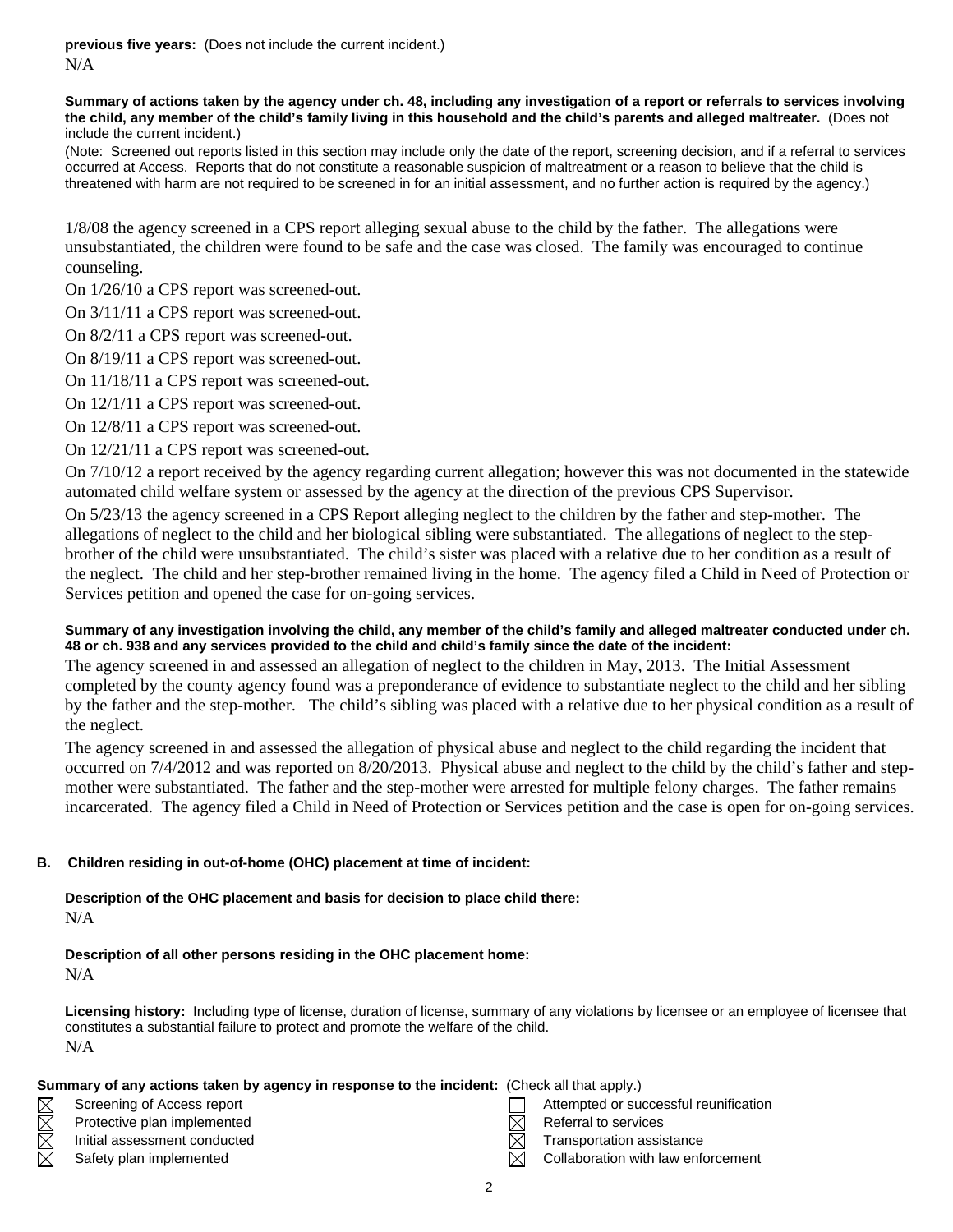**previous five years:** (Does not include the current incident.) N/A

#### **Summary of actions taken by the agency under ch. 48, including any investigation of a report or referrals to services involving the child, any member of the child's family living in this household and the child's parents and alleged maltreater.** (Does not include the current incident.)

(Note: Screened out reports listed in this section may include only the date of the report, screening decision, and if a referral to services occurred at Access. Reports that do not constitute a reasonable suspicion of maltreatment or a reason to believe that the child is threatened with harm are not required to be screened in for an initial assessment, and no further action is required by the agency.)

1/8/08 the agency screened in a CPS report alleging sexual abuse to the child by the father. The allegations were unsubstantiated, the children were found to be safe and the case was closed. The family was encouraged to continue counseling.

On 1/26/10 a CPS report was screened-out.

On 3/11/11 a CPS report was screened-out.

On 8/2/11 a CPS report was screened-out.

On 8/19/11 a CPS report was screened-out.

On 11/18/11 a CPS report was screened-out.

On 12/1/11 a CPS report was screened-out.

On 12/8/11 a CPS report was screened-out.

On 12/21/11 a CPS report was screened-out.

On 7/10/12 a report received by the agency regarding current allegation; however this was not documented in the statewide automated child welfare system or assessed by the agency at the direction of the previous CPS Supervisor.

On 5/23/13 the agency screened in a CPS Report alleging neglect to the children by the father and step-mother. The allegations of neglect to the child and her biological sibling were substantiated. The allegations of neglect to the stepbrother of the child were unsubstantiated. The child's sister was placed with a relative due to her condition as a result of the neglect. The child and her step-brother remained living in the home. The agency filed a Child in Need of Protection or Services petition and opened the case for on-going services.

# **Summary of any investigation involving the child, any member of the child's family and alleged maltreater conducted under ch. 48 or ch. 938 and any services provided to the child and child's family since the date of the incident:**

The agency screened in and assessed an allegation of neglect to the children in May, 2013. The Initial Assessment completed by the county agency found was a preponderance of evidence to substantiate neglect to the child and her sibling by the father and the step-mother. The child's sibling was placed with a relative due to her physical condition as a result of the neglect.

The agency screened in and assessed the allegation of physical abuse and neglect to the child regarding the incident that occurred on 7/4/2012 and was reported on 8/20/2013. Physical abuse and neglect to the child by the child's father and stepmother were substantiated. The father and the step-mother were arrested for multiple felony charges. The father remains incarcerated. The agency filed a Child in Need of Protection or Services petition and the case is open for on-going services.

# **B. Children residing in out-of-home (OHC) placement at time of incident:**

**Description of the OHC placement and basis for decision to place child there:** N/A

**Description of all other persons residing in the OHC placement home:**

N/A

**Licensing history:** Including type of license, duration of license, summary of any violations by licensee or an employee of licensee that constitutes a substantial failure to protect and promote the welfare of the child. N/A

| Summary of any actions taken by agency in response to the incident: (Check all that apply.) |                              |  |                                       |  |  |  |
|---------------------------------------------------------------------------------------------|------------------------------|--|---------------------------------------|--|--|--|
| $\boxtimes$                                                                                 | Screening of Access report   |  | Attempted or successful reunification |  |  |  |
| $\times$                                                                                    | Protective plan implemented  |  | Referral to services                  |  |  |  |
| $\boxtimes$                                                                                 | Initial assessment conducted |  | Transportation assistance             |  |  |  |
| $\boxtimes$                                                                                 | Safety plan implemented      |  | Collaboration with law enforcement    |  |  |  |